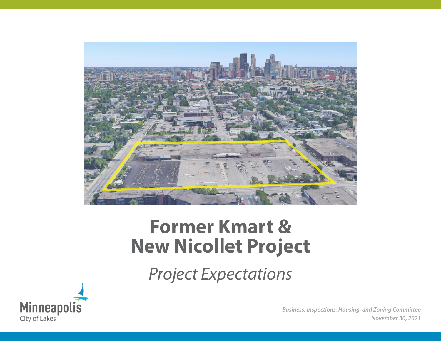

# **Former Kmart & New Nicollet Project**

*Project Expectations*



*Business, Inspections, Housing, and Zoning Committee November 30, 2021*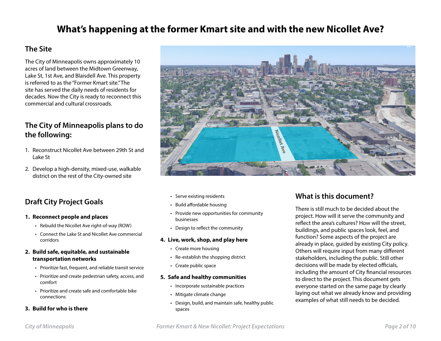# **What's happening at the former Kmart site and with the new Nicollet Ave?**

### **The Site**

The City of Minneapolis owns approximately 10 acres of land between the Midtown Greenway, Lake St, 1st Ave, and Blaisdell Ave. This property is referred to as the "Former Kmart site." The site has served the daily needs of residents for decades. Now the City is ready to reconnect this commercial and cultural crossroads.

### **The City of Minneapolis plans to do the following:**

- 1. Reconstruct Nicollet Ave between 29th St and Lake St
- 2. Develop a high-density, mixed-use, walkable district on the rest of the City-owned site

### **Draft City Project Goals**

#### **1. Reconnect people and places**

- Rebuild the Nicollet Ave right-of-way (ROW)
- Connect the Lake St and Nicollet Ave commercial corridors

#### **2. Build safe, equitable, and sustainable transportation networks**

- Prioritize fast, frequent, and reliable transit service
- Prioritize and create pedestrian safety, access, and comfort
- Prioritize and create safe and comfortable bike connections

#### **3. Build for who is there**



- Serve existing residents
- Build affordable housing
- Provide new opportunities for community businesses
- Design to reflect the community

#### **4. Live, work, shop, and play here**

- Create more housing
- Re-establish the shopping district
- Create public space

#### **5. Safe and healthy communities**

- Incorporate sustainable practices
- Mitigate climate change
- Design, build, and maintain safe, healthy public spaces

### **What is this document?**

There is still much to be decided about the project. How will it serve the community and reflect the area's cultures? How will the street, buildings, and public spaces look, feel, and function? Some aspects of the project are already in place, guided by existing City policy. Others will require input from many different stakeholders, including the public. Still other decisions will be made by elected officials, including the amount of City financial resources to direct to the project. This document gets everyone started on the same page by clearly laying out what we already know and providing examples of what still needs to be decided.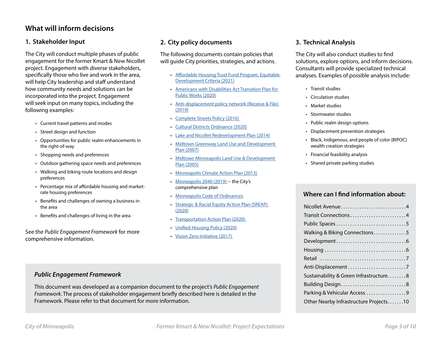### **What will inform decisions**

#### **1. Stakeholder Input**

The City will conduct multiple phases of public engagement for the former Kmart & New Nicollet project. Engagement with diverse stakeholders, specifically those who live and work in the area, will help City leadership and staff understand how community needs and solutions can be incorporated into the project. Engagement will seek input on many topics, including the following examples:

- Current travel patterns and modes
- Street design and function
- Opportunities for public realm enhancements in the right-of-way
- Shopping needs and preferences
- Outdoor gathering space needs and preferences
- Walking and biking route locations and design preferences
- Percentage mix of affordable housing and marketrate housing preferences
- Benefits and challenges of owning a business in the area
- Benefits and challenges of living in the area

See the *Public Engagement Framework* for more comprehensive information.

#### **2. City policy documents**

The following documents contain policies that will guide City priorities, strategies, and actions.

- Affordable Housing Trust Fund Program, Equitable Development Criteria (2021)
- Americans with Disabilities Act Transition Plan for Public Works (2020)
- Anti-displacement policy network (Receive & File) (2019)
- Complete Streets Policy (2016)
- Cultural Districts Ordinance (2020)
- Lake and Nicollet Redevelopment Plan (2014)
- Midtown Greenway Land Use and Development Plan (2007)
- Midtown Minneapolis Land Use & Development Plan (2005)
- Minneapolis Climate Action Plan (2013)
- Minneapolis 2040 (2019) -- the City's comprehensive plan
- Minneapolis Code of Ordinances
- Strategic & Racial Equity Action Plan (SREAP) (2020)
- Transportation Action Plan (2020)
- Unified Housing Policy (2020)
- Vision Zero Initiative (2017)

#### **3. Technical Analysis**

The City will also conduct studies to find solutions, explore options, and inform decisions. Consultants will provide specialized technical analyses. Examples of possible analysis include:

- Transit studies
- Circulation studies
- Market studies
- Stormwater studies
- Public realm design options
- Displacement prevention strategies
- Black, Indigenous, and people of color (BIPOC) wealth creation strategies
- Financial feasibility analysis
- Shared private parking studies

#### **Where can I find information about:**

| Nicollet Avenue4                       |
|----------------------------------------|
| Transit Connections4                   |
| Public Spaces 5                        |
| Walking & Biking Connections5          |
|                                        |
|                                        |
|                                        |
|                                        |
| Sustainability & Green Infrastructure8 |
| Building Design8                       |
| Parking & Vehicular Access 9           |
| Other Nearby Infrastructure Projects10 |

#### *Public Engagement Framework*

This document was developed as a companion document to the project's *Public Engagement Framework*. The process of stakeholder engagement briefly described here is detailed in the Framework. Please refer to that document for more information.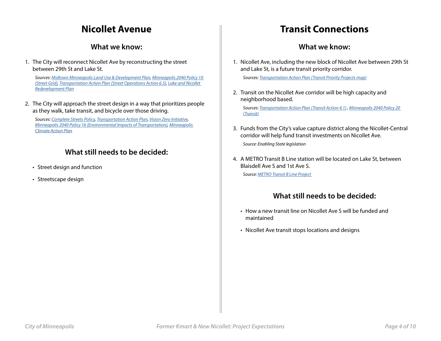# **Nicollet Avenue**

#### **What we know:**

<span id="page-3-0"></span>1. The City will reconnect Nicollet Ave by reconstructing the street between 29th St and Lake St.

*Sources: Midtown Minneapolis Land Use & Development Plan, Minneapolis 2040 Policy 10 (Street Grid), Transportation Action Plan (Street Operations Action 6.5), Lake and Nicollet Redevelopment Plan*

2. The City will approach the street design in a way that prioritizes people as they walk, take transit, and bicycle over those driving.

*Sources: Complete Streets Policy, Transportation Action Plan, Vision Zero Initiative, Minneapolis 2040 Policy 16 (Environmental Impacts of Transportation), Minneapolis Climate Action Plan*

### **What still needs to be decided:**

- Street design and function
- Streetscape design

# **Transit Connections**

#### **What we know:**

1. Nicollet Ave, including the new block of Nicollet Ave between 29th St and Lake St, is a future transit priority corridor.

*Sources: Transportation Action Plan (Transit Priority Projects map)*

2. Transit on the Nicollet Ave corridor will be high capacity and neighborhood based.

*Sources: Transportation Action Plan (Transit Action 4.1) , Minneapolis 2040 Policy 20 (Transit)*

- 3. Funds from the City's value capture district along the Nicollet-Central corridor will help fund transit investments on Nicollet Ave. *Source: Enabling State legislation*
- 4. A METRO Transit B Line station will be located on Lake St, between Blaisdell Ave S and 1st Ave S.

*Source: METRO Transit B Line Project* 

- How a new transit line on Nicollet Ave S will be funded and maintained
- Nicollet Ave transit stops locations and designs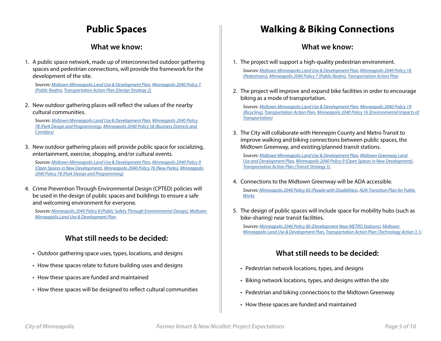# **Public Spaces**

#### **What we know:**

<span id="page-4-0"></span>1. A public space network, made up of interconnected outdoor gathering spaces and pedestrian connections, will provide the framework for the development of the site.

*Sources: Midtown Minneapolis Land Use & Development Plan, Minneapolis 2040 Policy 7 (Public Realm), Transportation Action Plan (Design Strategy 2)* 

2. New outdoor gathering places will reflect the values of the nearby cultural communities.

*Sources: Midtown Minneapolis Land Use & Development Plan, Minneapolis 2040 Policy 78 (Park Design and Programming), Minneapolis 2040 Policy 58 (Business Districts and Corridors)*

3. New outdoor gathering places will provide public space for socializing, entertainment, exercise, shopping, and/or cultural events.

*Sources: Midtown Minneapolis Land Use & Development Plan, Minneapolis 2040 Policy 9 (Open Spaces in New Development), Minneapolis 2040 Policy 76 (New Parks), Minneapolis 2040 Policy 78 (Park Design and Programming)*

4. Crime Prevention Through Environmental Design (CPTED) policies will be used in the design of public spaces and buildings to ensure a safe and welcoming environment for everyone.

*Sources: Minneapolis 2040 Policy 8 (Public Safety Through Environmental Design), Midtown Minneapolis Land Use & Development Plan* 

### **What still needs to be decided:**

- Outdoor gathering space uses, types, locations, and designs
- How these spaces relate to future building uses and designs
- How these spaces are funded and maintained
- How these spaces will be designed to reflect cultural communities

# **Walking & Biking Connections**

#### **What we know:**

1. The project will support a high-quality pedestrian environment.

*Sources: Midtown Minneapolis Land Use & Development Plan, Minneapolis 2040 Policy 18 (Pedestrians), Minneapolis 2040 Policy 7 (Public Realm), Transportation Action Plan*

2. The project will improve and expand bike facilities in order to encourage biking as a mode of transportation.

*Sources: Midtown Minneapolis Land Use & Development Plan, Minneapolis 2040 Policy 19 (Bicycling), Transportation Action Plan, Minneapolis 2040 Policy 16 (Environmental Impacts of Transportation)*

3. The City will collaborate with Hennepin County and Metro Transit to improve walking and biking connections between public spaces, the Midtown Greenway, and existing/planned transit stations.

*Sources: Midtown Minneapolis Land Use & Development Plan, Midtown Greenway Land Use and Development Plan, Minneapolis 2040 Policy 9 (Open Spaces in New Development), Transportation Action Plan (Transit Strategy 5)* 

- 4. Connections to the Midtown Greenway will be ADA accessible. *Sources: Minneapolis 2040 Policy 83 (People with Disabilities), ADA Transition Plan for Public Works*
- 5. The design of public spaces will include space for mobility hubs (such as bike-sharing) near transit facilities.

*Sources: Minneapolis 2040 Policy 80 (Development Near METRO Stations), Midtown Minneapolis Land Use & Development Plan, Transportation Action Plan (Technology Action 3.1)*

- Pedestrian network locations, types, and designs
- Biking network locations, types, and designs within the site
- Pedestrian and biking connections to the Midtown Greenway
- How these spaces are funded and maintained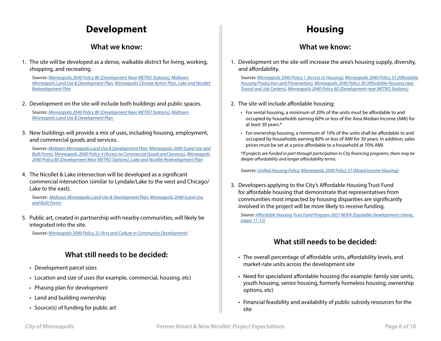# **Development**

#### **What we know:**

<span id="page-5-0"></span>1. The site will be developed as a dense, walkable district for living, working, shopping, and recreating.

*Sources: Minneapolis 2040 Policy 80 (Development Near METRO Stations), Midtown Minneapolis Land Use & Development Plan, Minneapolis Climate Action Plan, Lake and Nicollet Redevelopment Plan*

2. Development on the site will include both buildings and public spaces.

*Sources: Minneapolis 2040 Policy 80 (Development Near METRO Stations), Midtown Minneapolis Land Use & Development Plan* 

3. New buildings will provide a mix of uses, including housing, employment, and commercial goods and services.

*Sources: Midtown Minneapolis Land Use & Development Plan, Minneapolis 2040 (Land Use and Built Form), Minneapolis 2040 Policy 4 (Access to Commercial Goods and Services), Minneapolis 2040 Policy 80 (Development Near METRO Stations), Lake and Nicollet Redevelopment Plan*

4. The Nicollet & Lake intersection will be developed as a significant commercial intersection (similar to Lyndale/Lake to the west and Chicago/ Lake to the east).

*Sources: Midtown Minneapolis Land Use & Development Plan, Minneapolis 2040 (Land Use and Built Form)*

5. Public art, created in partnership with nearby communities, will likely be integrated into the site.

*Sources: Minneapolis 2040 Policy 32 (Arts and Culture in Community Development)*

### **What still needs to be decided:**

- Development parcel sizes
- Location and size of uses (for example, commercial, housing, etc)
- Phasing plan for development
- Land and building ownership
- Source(s) of funding for public art

# **Housing**

#### **What we know:**

1. Development on the site will increase the area's housing supply, diversity, and affordability.

*Sources: Minneapolis 2040 Policy 1 (Access to Housing), Minneapolis 2040 Policy 33 (Affordable Housing Production and Preservation), Minneapolis 2040 Policy 38 (Affordable Housing near Transit and Job Centers), Minneapolis 2040 Policy 80 (Development near METRO Stations)* 

- 2. The site will include affordable housing:
	- For rental housing, a minimum of 20% of the units must be affordable to and occupied by households earning 60% or less of the Area Median Income (AMI) for at least 30 years.\*
	- For ownership housing, a minimum of 10% of the units shall be affordable to and occupied by households earning 80% or less of AMI for 30 years. In addition, sales prices must be set at a price affordable to a household at 70% AMI.

*\*If projects are funded in part through participation in City financing programs, there may be deeper affordability and longer affordability terms.* 

*Sources: Unified Housing Policy, Minneapolis 2040 Policy 37 (Mixed Income Housing)*

3. Developers applying to the City's Affordable Housing Trust Fund for affordable housing that demonstrate that representatives from communities most impacted by housing disparities are significantly involved in the project will be more likely to receive funding.

*Source: Affordable Housing Trust Fund Program 2021 NOFA (Equitable Development criteria, pages 11-12)*

- The overall percentage of affordable units, affordability levels, and market-rate units across the development site
- Need for specialized affordable housing (for example: family size units, youth housing, senior housing, formerly homeless housing, ownership options, etc)
- Financial feasibility and availability of public subsidy resources for the site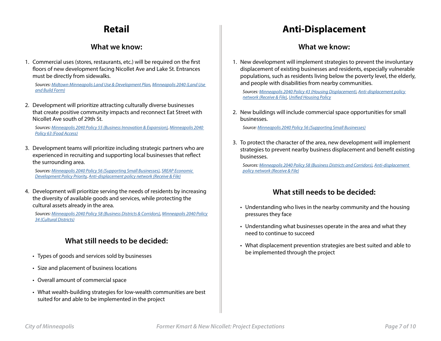# **Retail**

#### **What we know:**

<span id="page-6-0"></span>1. Commercial uses (stores, restaurants, etc.) will be required on the first floors of new development facing Nicollet Ave and Lake St. Entrances must be directly from sidewalks.

*Sources: Midtown Minneapolis Land Use & Development Plan, Minneapolis 2040 (Land Use and Build Form)*

2. Development will prioritize attracting culturally diverse businesses that create positive community impacts and reconnect Eat Street with Nicollet Ave south of 29th St.

*Sources: Minneapolis 2040 Policy 55 (Business Innovation & Expansion), Minneapolis 2040 Policy 63 (Food Access)*

3. Development teams will prioritize including strategic partners who are experienced in recruiting and supporting local businesses that reflect the surrounding area.

*Sources: Minneapolis 2040 Policy 56 (Supporting Small Businesses), SREAP Economic Development Policy Priority, Anti-displacement policy network (Receive & File)*

4. Development will prioritize serving the needs of residents by increasing the diversity of available goods and services, while protecting the cultural assets already in the area.

*Sources: Minneapolis 2040 Policy 58 (Business Districts & Corridors), Minneapolis 2040 Policy 34 (Cultural Districts)*

### **What still needs to be decided:**

- Types of goods and services sold by businesses
- Size and placement of business locations
- Overall amount of commercial space
- What wealth-building strategies for low-wealth communities are best suited for and able to be implemented in the project

# **Anti-Displacement**

#### **What we know:**

1. New development will implement strategies to prevent the involuntary displacement of existing businesses and residents, especially vulnerable populations, such as residents living below the poverty level, the elderly, and people with disabilities from nearby communities.

*Sources: Minneapolis 2040 Policy 43 (Housing Displacement), Anti-displacement policy network (Receive & File), Unified Housing Policy*

2. New buildings will include commercial space opportunities for small businesses.

*Source: Minneapolis 2040 Policy 56 (Supporting Small Businesses)*

3. To protect the character of the area, new development will implement strategies to prevent nearby business displacement and benefit existing businesses.

*Sources: Minneapolis 2040 Policy 58 (Business Districts and Corridors), Anti-displacement policy network (Receive & File)*

- Understanding who lives in the nearby community and the housing pressures they face
- Understanding what businesses operate in the area and what they need to continue to succeed
- What displacement prevention strategies are best suited and able to be implemented through the project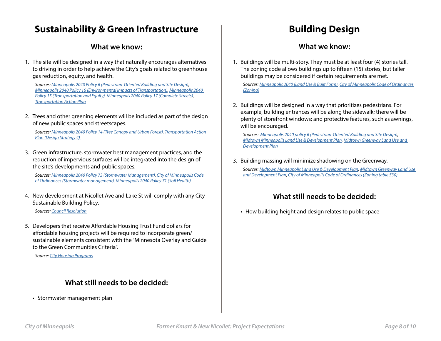## <span id="page-7-0"></span>**Sustainability & Green Infrastructure**

#### **What we know:**

1. The site will be designed in a way that naturally encourages alternatives to driving in order to help achieve the City's goals related to greenhouse gas reduction, equity, and health.

*Sources: Minneapolis 2040 Policy 6 (Pedestrian-Oriented Building and Site Design), Minneapolis 2040 Policy 16 (Environmental Impacts of Transportation), Minneapolis 2040 Policy 15 (Transportation and Equity), Minneapolis 2040 Policy 17 (Complete Streets), Transportation Action Plan*

2. Trees and other greening elements will be included as part of the design of new public spaces and streetscapes.

*Sources: Minneapolis 2040 Policy 14 (Tree Canopy and Urban Forest), Transportation Action Plan (Design Strategy 4)* 

3. Green infrastructure, stormwater best management practices, and the reduction of impervious surfaces will be integrated into the design of the site's developments and public spaces.

*Sources: Minneapolis 2040 Policy 73 (Stormwater Management), City of Minneapolis Code of Ordinances (Stormwater management), Minneapolis 2040 Policy 71 (Soil Health)*

4. New development at Nicollet Ave and Lake St will comply with any City Sustainable Building Policy.

*Sources: Council Resolution*

5. Developers that receive Affordable Housing Trust Fund dollars for affordable housing projects will be required to incorporate green/ sustainable elements consistent with the "Minnesota Overlay and Guide to the Green Communities Criteria".

*Source: City Housing Programs*

#### **What still needs to be decided:**

• Stormwater management plan

# **Building Design**

#### **What we know:**

1. Buildings will be multi-story. They must be at least four (4) stories tall. The zoning code allows buildings up to fifteen (15) stories, but taller buildings may be considered if certain requirements are met.

*Sources: Minneapolis 2040 (Land Use & Built Form), City of Minneapolis Code of Ordinances (Zoning)*

2. Buildings will be designed in a way that prioritizes pedestrians. For example, building entrances will be along the sidewalk; there will be plenty of storefront windows; and protective features, such as awnings, will be encouraged.

*Sources: Minneapolis 2040 policy 6 (Pedestrian-Oriented Building and Site Design), Midtown Minneapolis Land Use & Development Plan, Midtown Greenway Land Use and Development Plan*

3. Building massing will minimize shadowing on the Greenway. *Sources: Midtown Minneapolis Land Use & Development Plan, Midtown Greenway Land Use and Development Plan, City of Minneapolis Code of Ordinances (Zoning table 530)* 

### **What still needs to be decided:**

• How building height and design relates to public space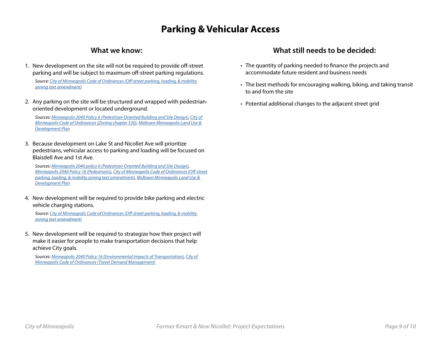# **Parking & Vehicular Access**

#### **What we know:**

- <span id="page-8-0"></span>1. New development on the site will not be required to provide off-street parking and will be subject to maximum off-street parking regulations. *Source: City of Minneapolis Code of Ordinances (Off-street parking, loading, & mobility zoning text amendment)*
- 2. Any parking on the site will be structured and wrapped with pedestrianoriented development or located underground.

*Sources: Minneapolis 2040 Policy 6 (Pedestrian-Oriented Building and Site Design), City of Minneapolis Code of Ordinances (Zoning chapter 530), Midtown Minneapolis Land Use & Development Plan*

3. Because development on Lake St and Nicollet Ave will prioritize pedestrians, vehicular access to parking and loading will be focused on Blaisdell Ave and 1st Ave.

*Sources: Minneapolis 2040 policy 6 (Pedestrian-Oriented Building and Site Design), Minneapolis 2040 Policy 18 (Pedestrians), City of Minneapolis Code of Ordinances (Off-street parking, loading, & mobility zoning text amendment), Midtown Minneapolis Land Use & Development Plan*

4. New development will be required to provide bike parking and electric vehicle charging stations.

*Source: City of Minneapolis Code of Ordinances (Off-street parking, loading, & mobility zoning text amendment)*

5. New development will be required to strategize how their project will make it easier for people to make transportation decisions that help achieve City goals.

*Sources: Minneapolis 2040 Policy 16 (Environmental Impacts of Transportation), City of Minneapolis Code of Ordinances (Travel Demand Management)*

- The quantity of parking needed to finance the projects and accommodate future resident and business needs
- The best methods for encouraging walking, biking, and taking transit to and from the site
- Potential additional changes to the adjacent street grid